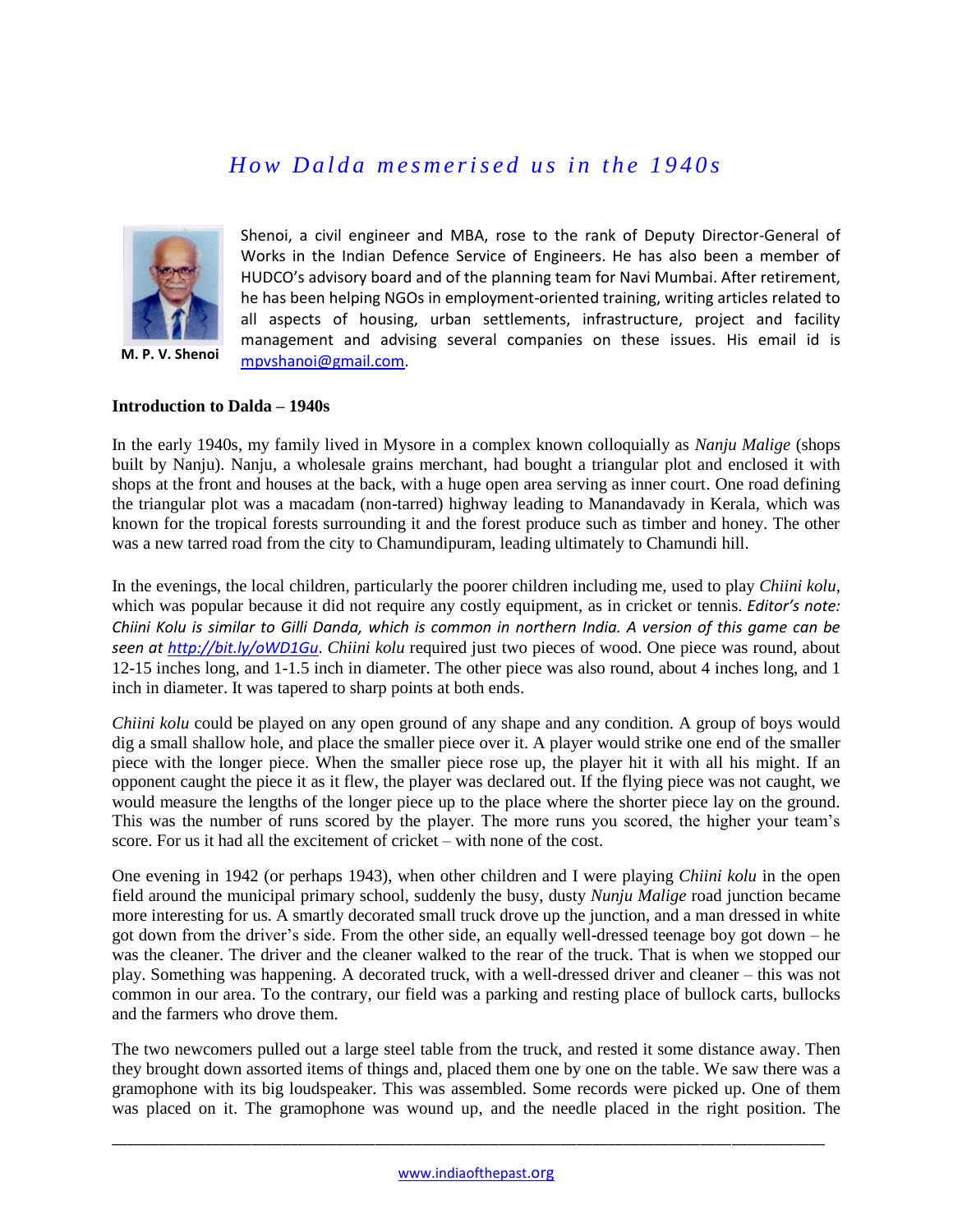## *H o w D a l d a m e s m e r is e d u s i n t h e 1 9 4 0 s*



**M. P. V. Shenoi**

Shenoi, a civil engineer and MBA, rose to the rank of Deputy Director-General of Works in the Indian Defence Service of Engineers. He has also been a member of HUDCO's advisory board and of the planning team for Navi Mumbai. After retirement, he has been helping NGOs in employment-oriented training, writing articles related to all aspects of housing, urban settlements, infrastructure, project and facility management and advising several companies on these issues. His email id is [mpvshanoi@gmail.com.](mailto:mpvshanoi@gmail.com)

## **Introduction to Dalda – 1940s**

In the early 1940s, my family lived in Mysore in a complex known colloquially as *Nanju Malige* (shops built by Nanju). Nanju, a wholesale grains merchant, had bought a triangular plot and enclosed it with shops at the front and houses at the back, with a huge open area serving as inner court. One road defining the triangular plot was a macadam (non-tarred) highway leading to Manandavady in Kerala, which was known for the tropical forests surrounding it and the forest produce such as timber and honey. The other was a new tarred road from the city to Chamundipuram, leading ultimately to Chamundi hill.

In the evenings, the local children, particularly the poorer children including me, used to play *Chiini kolu*, which was popular because it did not require any costly equipment, as in cricket or tennis. *Editor's note: Chiini Kolu is similar to Gilli Danda, which is common in northern India. A version of this game can be seen at<http://bit.ly/oWD1Gu>*. *Chiini kolu* required just two pieces of wood. One piece was round, about 12-15 inches long, and 1-1.5 inch in diameter. The other piece was also round, about 4 inches long, and 1 inch in diameter. It was tapered to sharp points at both ends.

*Chiini kolu* could be played on any open ground of any shape and any condition. A group of boys would dig a small shallow hole, and place the smaller piece over it. A player would strike one end of the smaller piece with the longer piece. When the smaller piece rose up, the player hit it with all his might. If an opponent caught the piece it as it flew, the player was declared out. If the flying piece was not caught, we would measure the lengths of the longer piece up to the place where the shorter piece lay on the ground. This was the number of runs scored by the player. The more runs you scored, the higher your team's score. For us it had all the excitement of cricket – with none of the cost.

One evening in 1942 (or perhaps 1943), when other children and I were playing *Chiini kolu* in the open field around the municipal primary school, suddenly the busy, dusty *Nunju Malige* road junction became more interesting for us. A smartly decorated small truck drove up the junction, and a man dressed in white got down from the driver's side. From the other side, an equally well-dressed teenage boy got down – he was the cleaner. The driver and the cleaner walked to the rear of the truck. That is when we stopped our play. Something was happening. A decorated truck, with a well-dressed driver and cleaner – this was not common in our area. To the contrary, our field was a parking and resting place of bullock carts, bullocks and the farmers who drove them.

The two newcomers pulled out a large steel table from the truck, and rested it some distance away. Then they brought down assorted items of things and, placed them one by one on the table. We saw there was a gramophone with its big loudspeaker. This was assembled. Some records were picked up. One of them was placed on it. The gramophone was wound up, and the needle placed in the right position. The

\_\_\_\_\_\_\_\_\_\_\_\_\_\_\_\_\_\_\_\_\_\_\_\_\_\_\_\_\_\_\_\_\_\_\_\_\_\_\_\_\_\_\_\_\_\_\_\_\_\_\_\_\_\_\_\_\_\_\_\_\_\_\_\_\_\_\_\_\_\_\_\_\_\_\_\_\_\_\_\_\_\_\_\_\_\_\_\_\_\_\_\_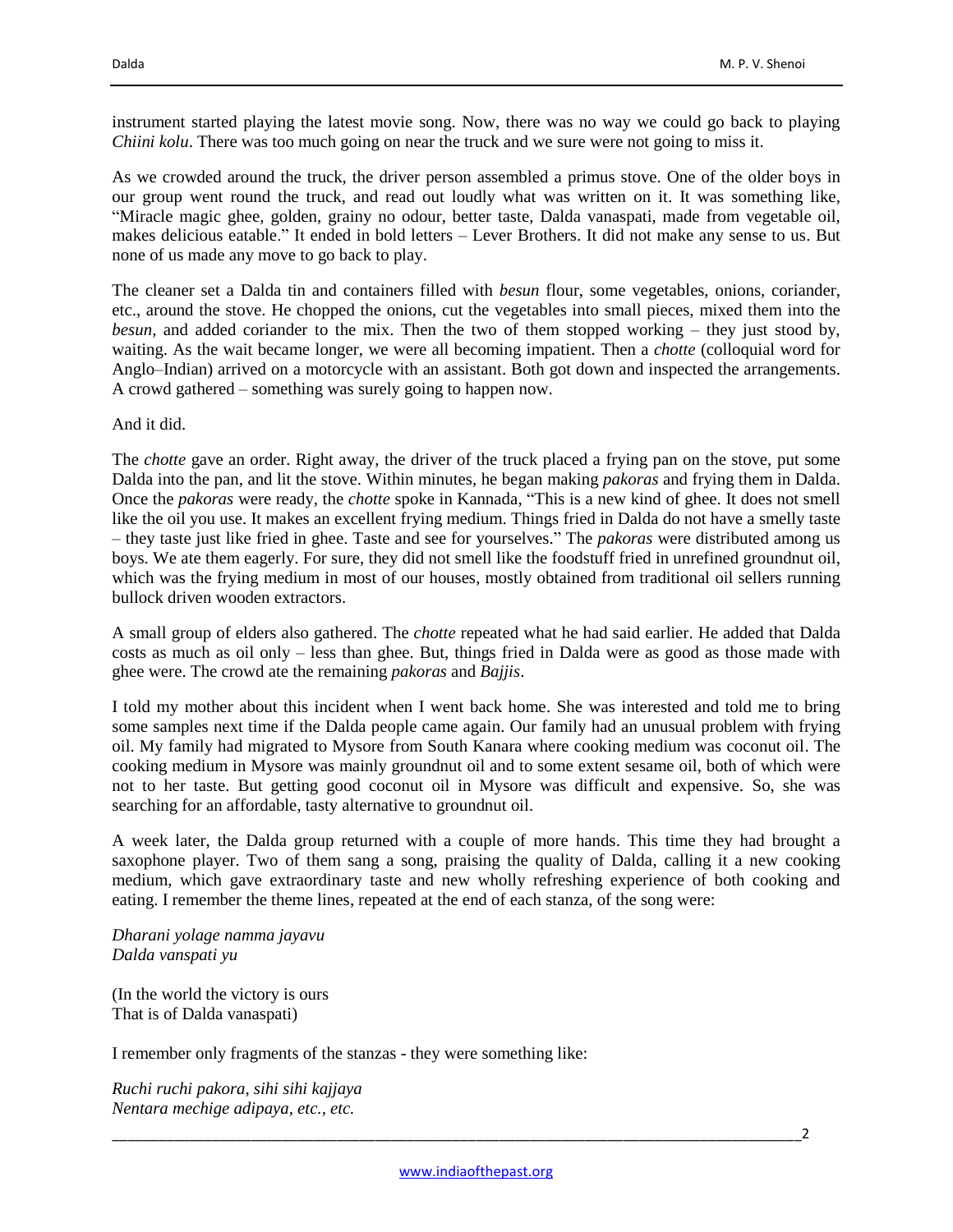instrument started playing the latest movie song. Now, there was no way we could go back to playing *Chiini kolu*. There was too much going on near the truck and we sure were not going to miss it.

As we crowded around the truck, the driver person assembled a primus stove. One of the older boys in our group went round the truck, and read out loudly what was written on it. It was something like, "Miracle magic ghee, golden, grainy no odour, better taste, Dalda vanaspati, made from vegetable oil, makes delicious eatable." It ended in bold letters – Lever Brothers. It did not make any sense to us. But none of us made any move to go back to play.

The cleaner set a Dalda tin and containers filled with *besun* flour, some vegetables, onions, coriander, etc., around the stove. He chopped the onions, cut the vegetables into small pieces, mixed them into the *besun*, and added coriander to the mix. Then the two of them stopped working – they just stood by, waiting. As the wait became longer, we were all becoming impatient. Then a *chotte* (colloquial word for Anglo–Indian) arrived on a motorcycle with an assistant. Both got down and inspected the arrangements. A crowd gathered – something was surely going to happen now.

And it did.

The *chotte* gave an order. Right away, the driver of the truck placed a frying pan on the stove, put some Dalda into the pan, and lit the stove. Within minutes, he began making *pakoras* and frying them in Dalda. Once the *pakoras* were ready, the *chotte* spoke in Kannada, "This is a new kind of ghee. It does not smell like the oil you use. It makes an excellent frying medium. Things fried in Dalda do not have a smelly taste – they taste just like fried in ghee. Taste and see for yourselves." The *pakoras* were distributed among us boys. We ate them eagerly. For sure, they did not smell like the foodstuff fried in unrefined groundnut oil, which was the frying medium in most of our houses, mostly obtained from traditional oil sellers running bullock driven wooden extractors.

A small group of elders also gathered. The *chotte* repeated what he had said earlier. He added that Dalda costs as much as oil only – less than ghee. But, things fried in Dalda were as good as those made with ghee were. The crowd ate the remaining *pakoras* and *Bajjis*.

I told my mother about this incident when I went back home. She was interested and told me to bring some samples next time if the Dalda people came again. Our family had an unusual problem with frying oil. My family had migrated to Mysore from South Kanara where cooking medium was coconut oil. The cooking medium in Mysore was mainly groundnut oil and to some extent sesame oil, both of which were not to her taste. But getting good coconut oil in Mysore was difficult and expensive. So, she was searching for an affordable, tasty alternative to groundnut oil.

A week later, the Dalda group returned with a couple of more hands. This time they had brought a saxophone player. Two of them sang a song, praising the quality of Dalda, calling it a new cooking medium, which gave extraordinary taste and new wholly refreshing experience of both cooking and eating. I remember the theme lines, repeated at the end of each stanza, of the song were:

*Dharani yolage namma jayavu Dalda vanspati yu*

(In the world the victory is ours That is of Dalda vanaspati)

I remember only fragments of the stanzas - they were something like:

*Ruchi ruchi pakora, sihi sihi kajjaya Nentara mechige adipaya, etc., etc.*

\_\_\_\_\_\_\_\_\_\_\_\_\_\_\_\_\_\_\_\_\_\_\_\_\_\_\_\_\_\_\_\_\_\_\_\_\_\_\_\_\_\_\_\_\_\_\_\_\_\_\_\_\_\_\_\_\_\_\_\_\_\_\_\_\_\_\_\_\_\_\_\_\_\_\_\_\_\_\_\_\_\_\_\_\_\_\_\_\_2